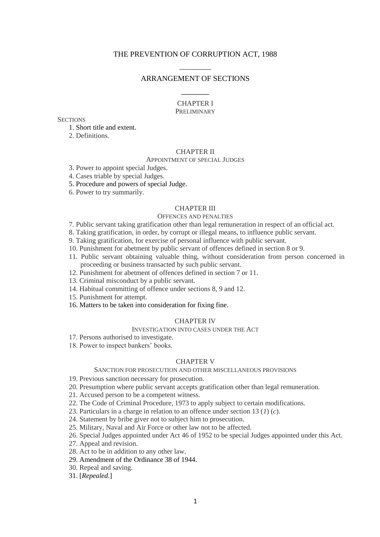## THE PREVENTION OF CORRUPTION ACT, 1988

# \_\_\_\_\_\_\_\_\_ ARRANGEMENT OF SECTIONS

\_\_\_\_\_\_\_\_

#### CHAPTER I PRELIMINARY

**SECTIONS** 

1. Short title and extent.

2. Definitions.

#### CHAPTER II

## APPOINTMENT OF SPECIAL JUDGES

- 3. Power to appoint special Judges.
- 4. Cases triable by special Judges.
- 5. Procedure and powers of special Judge.
- 6. Power to try summarily.

## CHAPTER III

#### OFFENCES AND PENALTIES

- 7. Public servant taking gratification other than legal remuneration in respect of an official act.
- 8. Taking gratification, in order, by corrupt or illegal means, to influence public servant.
- 9. Taking gratification, for exercise of personal influence with public servant.
- 10. Punishment for abetment by public servant of offences defined in section 8 or 9.
- 11. Public servant obtaining valuable thing, without consideration from person concerned in proceeding or business transacted by such public servant.
- 12. Punishment for abetment of offences defined in section 7 or 11.
- 13. Criminal misconduct by a public servant.
- 14. Habitual committing of offence under sections 8, 9 and 12.
- 15. Punishment for attempt.
- 16. Matters to be taken into consideration for fixing fine.

## CHAPTER IV

## INVESTIGATION INTO CASES UNDER THE ACT

- 17. Persons authorised to investigate.
- 18. Power to inspect bankers' books.

## CHAPTER V

## SANCTION FOR PROSECUTION AND OTHER MISCELLANEOUS PROVISIONS

- 19. Previous sanction necessary for prosecution.
- 20. Presumption where public servant accepts gratification other than legal remuneration.
- 21. Accused person to be a competent witness.
- 22. The Code of Criminal Procedure, 1973 to apply subject to certain modifications.
- 23. Particulars in a charge in relation to an offence under section 13 (*1*) (*c*).
- 24. Statement by bribe giver not to subject him to prosecution.
- 25. Military, Naval and Air Force or other law not to be affected.
- 26. Special Judges appointed under Act 46 of 1952 to be special Judges appointed under this Act.
- 27. Appeal and revision.
- 28. Act to be in addition to any other law.
- 29. Amendment of the Ordinance 38 of 1944.
- 30. Repeal and saving.
- 31. [*Repealed.*]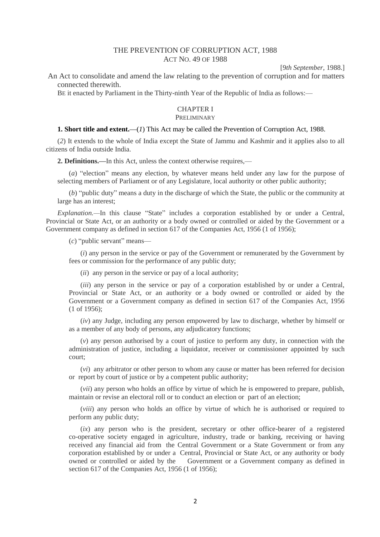## THE PREVENTION OF CORRUPTION ACT, 1988 ACT NO. 49 OF 1988

[9*th September,* 1988.]

An Act to consolidate and amend the law relating to the prevention of corruption and for matters connected therewith.

BE it enacted by Parliament in the Thirty-ninth Year of the Republic of India as follows:—

# CHAPTER I

## PRELIMINARY

## **1. Short title and extent.—**(*1*) This Act may be called the Prevention of Corruption Act, 1988.

(*2*) It extends to the whole of India except the State of Jammu and Kashmir and it applies also to all citizens of India outside India.

**2. Definitions.—**In this Act, unless the context otherwise requires,—

(*a*) "election" means any election, by whatever means held under any law for the purpose of selecting members of Parliament or of any Legislature, local authority or other public authority;

(*b*) "public duty" means a duty in the discharge of which the State, the public or the community at large has an interest;

*Explanation.—*In this clause "State" includes a corporation established by or under a Central, Provincial or State Act, or an authority or a body owned or controlled or aided by the Government or a Government company as defined in section 617 of the Companies Act, 1956 (1 of 1956);

(*c*) "public servant" means—

(*i*) any person in the service or pay of the Government or remunerated by the Government by fees or commission for the performance of any public duty;

(*ii*) any person in the service or pay of a local authority;

(*iii*) any person in the service or pay of a corporation established by or under a Central, Provincial or State Act, or an authority or a body owned or controlled or aided by the Government or a Government company as defined in section 617 of the Companies Act, 1956 (1 of 1956);

(*iv*) any Judge, including any person empowered by law to discharge, whether by himself or as a member of any body of persons, any adjudicatory functions;

(*v*) any person authorised by a court of justice to perform any duty, in connection with the administration of justice, including a liquidator, receiver or commissioner appointed by such court;

(*vi*) any arbitrator or other person to whom any cause or matter has been referred for decision or report by court of justice or by a competent public authority;

(*vii*) any person who holds an office by virtue of which he is empowered to prepare, publish, maintain or revise an electoral roll or to conduct an election or part of an election;

(*viii*) any person who holds an office by virtue of which he is authorised or required to perform any public duty;

(*ix*) any person who is the president, secretary or other office-bearer of a registered co-operative society engaged in agriculture, industry, trade or banking, receiving or having received any financial aid from the Central Government or a State Government or from any corporation established by or under a Central, Provincial or State Act, or any authority or body owned or controlled or aided by the Government or a Government company as defined in section 617 of the Companies Act, 1956 (1 of 1956);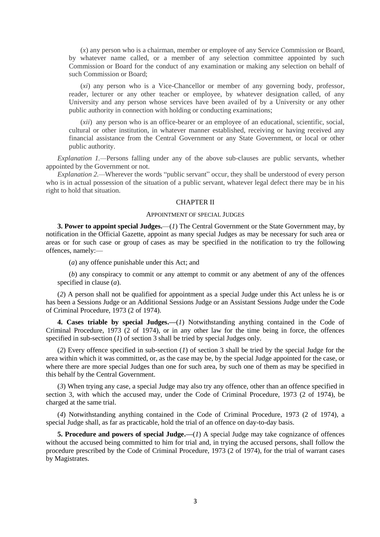(*x*) any person who is a chairman, member or employee of any Service Commission or Board, by whatever name called, or a member of any selection committee appointed by such Commission or Board for the conduct of any examination or making any selection on behalf of such Commission or Board;

(*xi*) any person who is a Vice-Chancellor or member of any governing body, professor, reader, lecturer or any other teacher or employee, by whatever designation called, of any University and any person whose services have been availed of by a University or any other public authority in connection with holding or conducting examinations;

(*xii*) any person who is an office-bearer or an employee of an educational, scientific, social, cultural or other institution, in whatever manner established, receiving or having received any financial assistance from the Central Government or any State Government, or local or other public authority.

*Explanation 1.—*Persons falling under any of the above sub-clauses are public servants, whether appointed by the Government or not.

*Explanation 2.—*Wherever the words "public servant" occur, they shall be understood of every person who is in actual possession of the situation of a public servant, whatever legal defect there may be in his right to hold that situation.

#### CHAPTER II

### APPOINTMENT OF SPECIAL JUDGES

**3. Power to appoint special Judges.**—(*1*) The Central Government or the State Government may, by notification in the Official Gazette, appoint as many special Judges as may be necessary for such area or areas or for such case or group of cases as may be specified in the notification to try the following offences, namely:—

(*a*) any offence punishable under this Act; and

(*b*) any conspiracy to commit or any attempt to commit or any abetment of any of the offences specified in clause (*a*).

(*2*) A person shall not be qualified for appointment as a special Judge under this Act unless he is or has been a Sessions Judge or an Additional Sessions Judge or an Assistant Sessions Judge under the Code of Criminal Procedure, 1973 (2 of 1974).

**4. Cases triable by special Judges.—**(*1*) Notwithstanding anything contained in the Code of Criminal Procedure, 1973 (2 of 1974), or in any other law for the time being in force, the offences specified in sub-section (*1*) of section 3 shall be tried by special Judges only.

(*2*) Every offence specified in sub-section (*1*) of section 3 shall be tried by the special Judge for the area within which it was committed, or, as the case may be, by the special Judge appointed for the case, or where there are more special Judges than one for such area, by such one of them as may be specified in this behalf by the Central Government.

(*3*) When trying any case, a special Judge may also try any offence, other than an offence specified in section 3, with which the accused may, under the Code of Criminal Procedure, 1973 (2 of 1974), be charged at the same trial.

(*4*) Notwithstanding anything contained in the Code of Criminal Procedure, 1973 (2 of 1974), a special Judge shall, as far as practicable, hold the trial of an offence on day-to-day basis.

**5. Procedure and powers of special Judge.—**(*1*) A special Judge may take cognizance of offences without the accused being committed to him for trial and, in trying the accused persons, shall follow the procedure prescribed by the Code of Criminal Procedure, 1973 (2 of 1974), for the trial of warrant cases by Magistrates.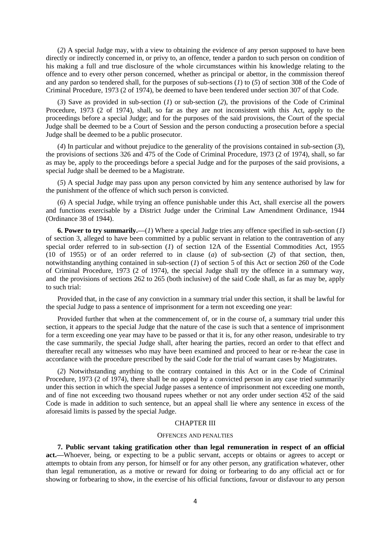(*2*) A special Judge may, with a view to obtaining the evidence of any person supposed to have been directly or indirectly concerned in, or privy to, an offence, tender a pardon to such person on condition of his making a full and true disclosure of the whole circumstances within his knowledge relating to the offence and to every other person concerned, whether as principal or abettor, in the commission thereof and any pardon so tendered shall, for the purposes of sub-sections (*1*) to (*5*) of section 308 of the Code of Criminal Procedure, 1973 (2 of 1974), be deemed to have been tendered under section 307 of that Code.

(*3*) Save as provided in sub-section (*1*) or sub-section (*2*), the provisions of the Code of Criminal Procedure, 1973 (2 of 1974), shall, so far as they are not inconsistent with this Act, apply to the proceedings before a special Judge; and for the purposes of the said provisions, the Court of the special Judge shall be deemed to be a Court of Session and the person conducting a prosecution before a special Judge shall be deemed to be a public prosecutor.

(*4*) In particular and without prejudice to the generality of the provisions contained in sub-section (*3*), the provisions of sections 326 and 475 of the Code of Criminal Procedure, 1973 (2 of 1974), shall, so far as may be, apply to the proceedings before a special Judge and for the purposes of the said provisions, a special Judge shall be deemed to be a Magistrate.

(*5*) A special Judge may pass upon any person convicted by him any sentence authorised by law for the punishment of the offence of which such person is convicted.

(*6*) A special Judge, while trying an offence punishable under this Act, shall exercise all the powers and functions exercisable by a District Judge under the Criminal Law Amendment Ordinance, 1944 (Ordinance 38 of 1944).

**6. Power to try summarily.—**(*1*) Where a special Judge tries any offence specified in sub-section (*1*) of section 3, alleged to have been committed by a public servant in relation to the contravention of any special order referred to in sub-section (*1*) of section 12A of the Essential Commodities Act, 1955 (10 of 1955) or of an order referred to in clause (*a*) of sub-section (*2*) of that section, then, notwithstanding anything contained in sub-section (*1*) of section 5 of this Act or section 260 of the Code of Criminal Procedure, 1973 (2 of 1974), the special Judge shall try the offence in a summary way, and the provisions of sections 262 to 265 (both inclusive) of the said Code shall, as far as may be, apply to such trial:

Provided that, in the case of any conviction in a summary trial under this section, it shall be lawful for the special Judge to pass a sentence of imprisonment for a term not exceeding one year:

Provided further that when at the commencement of, or in the course of, a summary trial under this section, it appears to the special Judge that the nature of the case is such that a sentence of imprisonment for a term exceeding one year may have to be passed or that it is, for any other reason, undesirable to try the case summarily, the special Judge shall, after hearing the parties, record an order to that effect and thereafter recall any witnesses who may have been examined and proceed to hear or re-hear the case in accordance with the procedure prescribed by the said Code for the trial of warrant cases by Magistrates.

(*2*) Notwithstanding anything to the contrary contained in this Act or in the Code of Criminal Procedure, 1973 (2 of 1974), there shall be no appeal by a convicted person in any case tried summarily under this section in which the special Judge passes a sentence of imprisonment not exceeding one month, and of fine not exceeding two thousand rupees whether or not any order under section 452 of the said Code is made in addition to such sentence, but an appeal shall lie where any sentence in excess of the aforesaid limits is passed by the special Judge.

## CHAPTER III

#### OFFENCES AND PENALTIES

**7. Public servant taking gratification other than legal remuneration in respect of an official act.—**Whoever, being, or expecting to be a public servant, accepts or obtains or agrees to accept or attempts to obtain from any person, for himself or for any other person, any gratification whatever, other than legal remuneration, as a motive or reward for doing or forbearing to do any official act or for showing or forbearing to show, in the exercise of his official functions, favour or disfavour to any person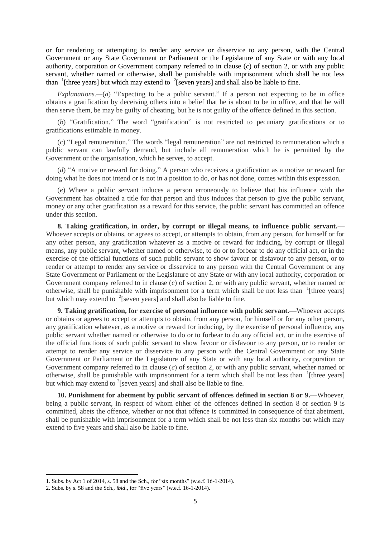or for rendering or attempting to render any service or disservice to any person, with the Central Government or any State Government or Parliament or the Legislature of any State or with any local authority, corporation or Government company referred to in clause (*c*) of section 2, or with any public servant, whether named or otherwise, shall be punishable with imprisonment which shall be not less than  $\frac{1}{1}$ [three years] but which may extend to  $\frac{2}{1}$ [seven years] and shall also be liable to fine.

*Explanations.—*(*a*) "Expecting to be a public servant." If a person not expecting to be in office obtains a gratification by deceiving others into a belief that he is about to be in office, and that he will then serve them, be may be guilty of cheating, but he is not guilty of the offence defined in this section.

(*b*) "Gratification." The word "gratification" is not restricted to pecuniary gratifications or to gratifications estimable in money.

(*c*) "Legal remuneration." The words "legal remuneration" are not restricted to remuneration which a public servant can lawfully demand, but include all remuneration which he is permitted by the Government or the organisation, which he serves, to accept.

(*d*) "A motive or reward for doing." A person who receives a gratification as a motive or reward for doing what he does not intend or is not in a position to do, or has not done, comes within this expression.

(*e*) Where a public servant induces a person erroneously to believe that his influence with the Government has obtained a title for that person and thus induces that person to give the public servant, money or any other gratification as a reward for this service, the public servant has committed an offence under this section.

**8. Taking gratification, in order, by corrupt or illegal means, to influence public servant.—** Whoever accepts or obtains, or agrees to accept, or attempts to obtain, from any person, for himself or for any other person, any gratification whatever as a motive or reward for inducing, by corrupt or illegal means, any public servant, whether named or otherwise, to do or to forbear to do any official act, or in the exercise of the official functions of such public servant to show favour or disfavour to any person, or to render or attempt to render any service or disservice to any person with the Central Government or any State Government or Parliament or the Legislature of any State or with any local authority, corporation or Government company referred to in clause (*c*) of section 2, or with any public servant, whether named or otherwise, shall be punishable with imprisonment for a term which shall be not less than <sup>1</sup>[three years] but which may extend to  $2$ [seven years] and shall also be liable to fine.

**9. Taking gratification, for exercise of personal influence with public servant.—**Whoever accepts or obtains or agrees to accept or attempts to obtain, from any person, for himself or for any other person, any gratification whatever, as a motive or reward for inducing, by the exercise of personal influence, any public servant whether named or otherwise to do or to forbear to do any official act, or in the exercise of the official functions of such public servant to show favour or disfavour to any person, or to render or attempt to render any service or disservice to any person with the Central Government or any State Government or Parliament or the Legislature of any State or with any local authority, corporation or Government company referred to in clause (*c*) of section 2, or with any public servant, whether named or otherwise, shall be punishable with imprisonment for a term which shall be not less than <sup>1</sup>[three years] but which may extend to  $2$ [seven years] and shall also be liable to fine.

**10. Punishment for abetment by public servant of offences defined in section 8 or 9.—**Whoever, being a public servant, in respect of whom either of the offences defined in section 8 or section 9 is committed, abets the offence, whether or not that offence is committed in consequence of that abetment, shall be punishable with imprisonment for a term which shall be not less than six months but which may extend to five years and shall also be liable to fine.

1

<sup>1.</sup> Subs. by Act 1 of 2014, s. 58 and the Sch., for "six months" (w.e.f. 16-1-2014).

<sup>2.</sup> Subs. by s. 58 and the Sch., *ibid*., for "five years" (w.e.f. 16-1-2014).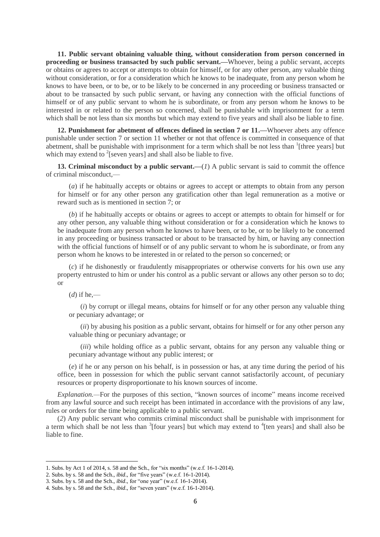**11. Public servant obtaining valuable thing, without consideration from person concerned in proceeding or business transacted by such public servant.—**Whoever, being a public servant, accepts or obtains or agrees to accept or attempts to obtain for himself, or for any other person, any valuable thing without consideration, or for a consideration which he knows to be inadequate, from any person whom he knows to have been, or to be, or to be likely to be concerned in any proceeding or business transacted or about to be transacted by such public servant, or having any connection with the official functions of himself or of any public servant to whom he is subordinate, or from any person whom he knows to be interested in or related to the person so concerned, shall be punishable with imprisonment for a term which shall be not less than six months but which may extend to five years and shall also be liable to fine.

**12. Punishment for abetment of offences defined in section 7 or 11.—**Whoever abets any offence punishable under section 7 or section 11 whether or not that offence is committed in consequence of that abetment, shall be punishable with imprisonment for a term which shall be not less than  $\frac{1}{1}$ [three years] but which may extend to  $2$ [seven years] and shall also be liable to five.

**13. Criminal misconduct by a public servant.**—(*1*) A public servant is said to commit the offence of criminal misconduct,—

(*a*) if he habitually accepts or obtains or agrees to accept or attempts to obtain from any person for himself or for any other person any gratification other than legal remuneration as a motive or reward such as is mentioned in section 7; or

(*b*) if he habitually accepts or obtains or agrees to accept or attempts to obtain for himself or for any other person, any valuable thing without consideration or for a consideration which he knows to be inadequate from any person whom he knows to have been, or to be, or to be likely to be concerned in any proceeding or business transacted or about to be transacted by him, or having any connection with the official functions of himself or of any public servant to whom he is subordinate, or from any person whom he knows to be interested in or related to the person so concerned; or

(*c*) if he dishonestly or fraudulently misappropriates or otherwise converts for his own use any property entrusted to him or under his control as a public servant or allows any other person so to do; or

(*d*) if he,—

**.** 

(*i*) by corrupt or illegal means, obtains for himself or for any other person any valuable thing or pecuniary advantage; or

(*ii*) by abusing his position as a public servant, obtains for himself or for any other person any valuable thing or pecuniary advantage; or

(*iii*) while holding office as a public servant, obtains for any person any valuable thing or pecuniary advantage without any public interest; or

(*e*) if he or any person on his behalf, is in possession or has, at any time during the period of his office, been in possession for which the public servant cannot satisfactorily account, of pecuniary resources or property disproportionate to his known sources of income.

*Explanation.—*For the purposes of this section, "known sources of income" means income received from any lawful source and such receipt has been intimated in accordance with the provisions of any law, rules or orders for the time being applicable to a public servant.

(*2*) Any public servant who commits criminal misconduct shall be punishable with imprisonment for a term which shall be not less than  $3$ [four years] but which may extend to  $4$ [ten years] and shall also be liable to fine.

<sup>1.</sup> Subs. by Act 1 of 2014, s. 58 and the Sch., for "six months" (w.e.f. 16-1-2014).

<sup>2.</sup> Subs. by s. 58 and the Sch., *ibid*., for "five years" (w.e.f. 16-1-2014).

<sup>3.</sup> Subs. by s. 58 and the Sch., *ibid*., for "one year" (w.e.f. 16-1-2014).

<sup>4.</sup> Subs. by s. 58 and the Sch., *ibid*., for "seven years" (w.e.f. 16-1-2014).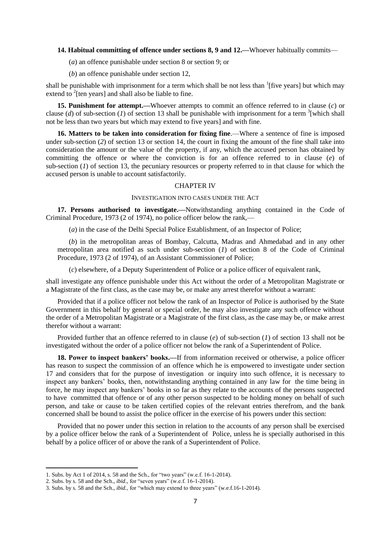#### **14. Habitual committing of offence under sections 8, 9 and 12.—**Whoever habitually commits—

(*a*) an offence punishable under section 8 or section 9; or

(*b*) an offence punishable under section 12,

shall be punishable with imprisonment for a term which shall be not less than  $\frac{1}{1}$  [five years] but which may extend to  $2$ [ten years] and shall also be liable to fine.

**15. Punishment for attempt.—**Whoever attempts to commit an offence referred to in clause (*c*) or clause (*d*) of sub-section (*1*) of section 13 shall be punishable with imprisonment for a term <sup>3</sup>[which shall not be less than two years but which may extend to five years] and with fine.

**16. Matters to be taken into consideration for fixing fine**.—Where a sentence of fine is imposed under sub-section (*2*) of section 13 or section 14, the court in fixing the amount of the fine shall take into consideration the amount or the value of the property, if any, which the accused person has obtained by committing the offence or where the conviction is for an offence referred to in clause (*e*) of sub-section (*1*) of section 13, the pecuniary resources or property referred to in that clause for which the accused person is unable to account satisfactorily.

# CHAPTER IV

## INVESTIGATION INTO CASES UNDER THE ACT

**17. Persons authorised to investigate.—**Notwithstanding anything contained in the Code of Criminal Procedure, 1973 (2 of 1974), no police officer below the rank,—

(*a*) in the case of the Delhi Special Police Establishment, of an Inspector of Police;

(*b*) in the metropolitan areas of Bombay, Calcutta, Madras and Ahmedabad and in any other metropolitan area notified as such under sub-section (*1*) of section 8 of the Code of Criminal Procedure, 1973 (2 of 1974), of an Assistant Commissioner of Police;

(*c*) elsewhere, of a Deputy Superintendent of Police or a police officer of equivalent rank,

shall investigate any offence punishable under this Act without the order of a Metropolitan Magistrate or a Magistrate of the first class, as the case may be, or make any arrest therefor without a warrant:

Provided that if a police officer not below the rank of an Inspector of Police is authorised by the State Government in this behalf by general or special order, he may also investigate any such offence without the order of a Metropolitan Magistrate or a Magistrate of the first class, as the case may be, or make arrest therefor without a warrant:

Provided further that an offence referred to in clause (*e*) of sub-section (*1*) of section 13 shall not be investigated without the order of a police officer not below the rank of a Superintendent of Police.

**18. Power to inspect bankers' books.—**If from information received or otherwise, a police officer has reason to suspect the commission of an offence which he is empowered to investigate under section 17 and considers that for the purpose of investigation or inquiry into such offence, it is necessary to inspect any bankers' books, then, notwithstanding anything contained in any law for the time being in force, he may inspect any bankers' books in so far as they relate to the accounts of the persons suspected to have committed that offence or of any other person suspected to be holding money on behalf of such person, and take or cause to be taken certified copies of the relevant entries therefrom, and the bank concerned shall be bound to assist the police officer in the exercise of his powers under this section:

Provided that no power under this section in relation to the accounts of any person shall be exercised by a police officer below the rank of a Superintendent of Police, unless he is specially authorised in this behalf by a police officer of or above the rank of a Superintendent of Police.

2. Subs. by s. 58 and the Sch., *ibid*., for "seven years" (w.e.f. 16-1-2014).

**.** 

<sup>1.</sup> Subs. by Act 1 of 2014, s. 58 and the Sch., for "two years" (w.e.f. 16-1-2014).

<sup>3.</sup> Subs. by s. 58 and the Sch., *ibid.*, for "which may extend to three years" (w.e.f.16-1-2014).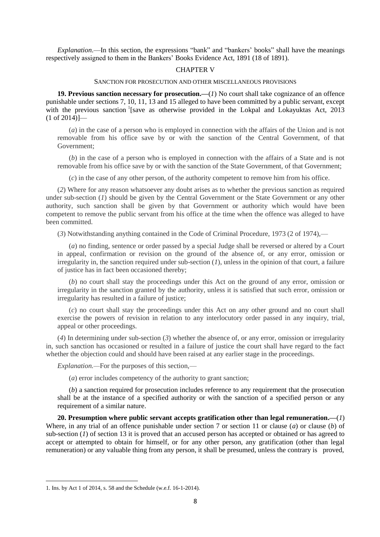*Explanation*.—In this section, the expressions "bank" and "bankers' books" shall have the meanings respectively assigned to them in the Bankers' Books Evidence Act, 1891 (18 of 1891).

# CHAPTER V

#### SANCTION FOR PROSECUTION AND OTHER MISCELLANEOUS PROVISIONS

**19. Previous sanction necessary for prosecution.—**(*1*) No court shall take cognizance of an offence punishable under sections 7, 10, 11, 13 and 15 alleged to have been committed by a public servant, except with the previous sanction  $\frac{1}{1}$  [save as otherwise provided in the Lokpal and Lokayuktas Act, 2013  $(1 \text{ of } 2014)$ ]—

(*a*) in the case of a person who is employed in connection with the affairs of the Union and is not removable from his office save by or with the sanction of the Central Government, of that Government;

(*b*) in the case of a person who is employed in connection with the affairs of a State and is not removable from his office save by or with the sanction of the State Government, of that Government;

(*c*) in the case of any other person, of the authority competent to remove him from his office.

(*2*) Where for any reason whatsoever any doubt arises as to whether the previous sanction as required under sub-section (*1*) should be given by the Central Government or the State Government or any other authority, such sanction shall be given by that Government or authority which would have been competent to remove the public servant from his office at the time when the offence was alleged to have been committed.

(*3*) Notwithstanding anything contained in the Code of Criminal Procedure, 1973 (2 of 1974),—

(*a*) no finding, sentence or order passed by a special Judge shall be reversed or altered by a Court in appeal, confirmation or revision on the ground of the absence of, or any error, omission or irregularity in, the sanction required under sub-section (*1*), unless in the opinion of that court, a failure of justice has in fact been occasioned thereby;

(*b*) no court shall stay the proceedings under this Act on the ground of any error, omission or irregularity in the sanction granted by the authority, unless it is satisfied that such error, omission or irregularity has resulted in a failure of justice;

(*c*) no court shall stay the proceedings under this Act on any other ground and no court shall exercise the powers of revision in relation to any interlocutory order passed in any inquiry, trial, appeal or other proceedings.

(*4*) In determining under sub-section (*3*) whether the absence of, or any error, omission or irregularity in, such sanction has occasioned or resulted in a failure of justice the court shall have regard to the fact whether the objection could and should have been raised at any earlier stage in the proceedings.

*Explanation.—*For the purposes of this section,—

(*a*) error includes competency of the authority to grant sanction;

(*b*) a sanction required for prosecution includes reference to any requirement that the prosecution shall be at the instance of a specified authority or with the sanction of a specified person or any requirement of a similar nature.

**20. Presumption where public servant accepts gratification other than legal remuneration.—**(*1*) Where, in any trial of an offence punishable under section 7 or section 11 or clause (*a*) or clause (*b*) of sub-section (*1*) of section 13 it is proved that an accused person has accepted or obtained or has agreed to accept or attempted to obtain for himself, or for any other person, any gratification (other than legal remuneration) or any valuable thing from any person, it shall be presumed, unless the contrary is proved,

**.** 

<sup>1.</sup> Ins. by Act 1 of 2014, s. 58 and the Schedule (w.e.f. 16-1-2014).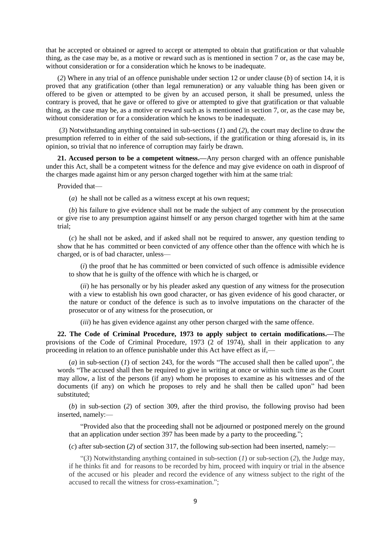that he accepted or obtained or agreed to accept or attempted to obtain that gratification or that valuable thing, as the case may be, as a motive or reward such as is mentioned in section 7 or, as the case may be, without consideration or for a consideration which he knows to be inadequate.

(*2*) Where in any trial of an offence punishable under section 12 or under clause (*b*) of section 14, it is proved that any gratification (other than legal remuneration) or any valuable thing has been given or offered to be given or attempted to be given by an accused person, it shall be presumed, unless the contrary is proved, that he gave or offered to give or attempted to give that gratification or that valuable thing, as the case may be, as a motive or reward such as is mentioned in section 7, or, as the case may be, without consideration or for a consideration which he knows to be inadequate.

(*3*) Notwithstanding anything contained in sub-sections (*1*) and (*2*), the court may decline to draw the presumption referred to in either of the said sub-sections, if the gratification or thing aforesaid is, in its opinion, so trivial that no inference of corruption may fairly be drawn.

**21. Accused person to be a competent witness.—**Any person charged with an offence punishable under this Act, shall be a competent witness for the defence and may give evidence on oath in disproof of the charges made against him or any person charged together with him at the same trial:

Provided that—

(*a*) he shall not be called as a witness except at his own request;

(*b*) his failure to give evidence shall not be made the subject of any comment by the prosecution or give rise to any presumption against himself or any person charged together with him at the same trial;

(*c*) he shall not be asked, and if asked shall not be required to answer, any question tending to show that he has committed or been convicted of any offence other than the offence with which he is charged, or is of bad character, unless—

(*i*) the proof that he has committed or been convicted of such offence is admissible evidence to show that he is guilty of the offence with which he is charged, or

(*ii*) he has personally or by his pleader asked any question of any witness for the prosecution with a view to establish his own good character, or has given evidence of his good character, or the nature or conduct of the defence is such as to involve imputations on the character of the prosecutor or of any witness for the prosecution, or

(*iii*) he has given evidence against any other person charged with the same offence.

**22. The Code of Criminal Procedure, 1973 to apply subject to certain modifications.—**The provisions of the Code of Criminal Procedure, 1973 (2 of 1974), shall in their application to any proceeding in relation to an offence punishable under this Act have effect as if,—

(*a*) in sub-section (*1*) of section 243, for the words "The accused shall then be called upon", the words "The accused shall then be required to give in writing at once or within such time as the Court may allow, a list of the persons (if any) whom he proposes to examine as his witnesses and of the documents (if any) on which he proposes to rely and he shall then be called upon" had been substituted;

(*b*) in sub-section (*2*) of section 309, after the third proviso, the following proviso had been inserted, namely:—

"Provided also that the proceeding shall not be adjourned or postponed merely on the ground that an application under section 397 has been made by a party to the proceeding.";

(*c*) after sub-section (*2*) of section 317, the following sub-section had been inserted, namely:—

"(*3*) Notwithstanding anything contained in sub**-**section (*1*) or sub-section (*2*), the Judge may, if he thinks fit and for reasons to be recorded by him, proceed with inquiry or trial in the absence of the accused or his pleader and record the evidence of any witness subject to the right of the accused to recall the witness for cross**-**examination.";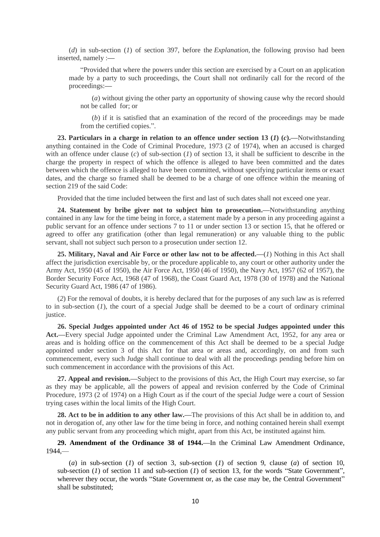(*d*) in sub**-**section (*1*) of section 397, before the *Explanation,* the following proviso had been inserted, namely :**—**

"Provided that where the powers under this section are exercised by a Court on an application made by a party to such proceedings, the Court shall not ordinarily call for the record of the proceedings:**—**

(*a*) without giving the other party an opportunity of showing cause why the record should not be called for; or

(*b*) if it is satisfied that an examination of the record of the proceedings may be made from the certified copies.".

**23. Particulars in a charge in relation to an offence under section 13 (***1***) (***c***).—**Notwithstanding anything contained in the Code of Criminal Procedure, 1973 (2 of 1974), when an accused is charged with an offence under clause (*c*) of sub-section (*l*) of section 13, it shall be sufficient to describe in the charge the property in respect of which the offence is alleged to have been committed and the dates between which the offence is alleged to have been committed, without specifying particular items or exact dates, and the charge so framed shall be deemed to be a charge of one offence within the meaning of section 219 of the said Code:

Provided that the time included between the first and last of such dates shall not exceed one year.

**24. Statement by bribe giver not to subject him to prosecution.—**Notwithstanding anything contained in any law for the time being in force, a statement made by a person in any proceeding against a public servant for an offence under sections 7 to 11 or under section 13 or section 15, that he offered or agreed to offer any gratification (other than legal remuneration) or any valuable thing to the public servant, shall not subject such person to a prosecution under section 12.

**25. Military, Naval and Air Force or other law not to be affected.—**(*1*) Nothing in this Act shall affect the jurisdiction exercisable by, or the procedure applicable to, any court or other authority under the Army Act, 1950 (45 of 1950), the Air Force Act, 1950 (46 of 1950), the Navy Act, 1957 (62 of 1957), the Border Security Force Act, 1968 (47 of 1968), the Coast Guard Act, 1978 (30 of 1978) and the National Security Guard Act, 1986 (47 of 1986).

(*2*) For the removal of doubts, it is hereby declared that for the purposes of any such law as is referred to in sub-section (*1*), the court of a special Judge shall be deemed to be a court of ordinary criminal justice.

**26. Special Judges appointed under Act 46 of 1952 to be special Judges appointed under this Act.—**Every special Judge appointed under the Criminal Law Amendment Act, 1952, for any area or areas and is holding office on the commencement of this Act shall be deemed to be a special Judge appointed under section 3 of this Act for that area or areas and, accordingly, on and from such commencement, every such Judge shall continue to deal with all the proceedings pending before him on such commencement in accordance with the provisions of this Act.

**27. Appeal and revision.—**Subject to the provisions of this Act, the High Court may exercise, so far as they may be applicable, all the powers of appeal and revision conferred by the Code of Criminal Procedure, 1973 (2 of 1974) on a High Court as if the court of the special Judge were a court of Session trying cases within the local limits of the High Court.

**28. Act to be in addition to any other law.—**The provisions of this Act shall be in addition to, and not in derogation of, any other law for the time being in force, and nothing contained herein shall exempt any public servant from any proceeding which might, apart from this Act, be instituted against him.

**29. Amendment of the Ordinance 38 of 1944.—**In the Criminal Law Amendment Ordinance, 1944,—

(*a*) in sub-section (*1*) of section 3, sub-section (*1*) of section 9, clause (*a*) of section 10, sub-section (*1*) of section 11 and sub-section (*1*) of section 13, for the words "State Government", wherever they occur, the words "State Government or, as the case may be, the Central Government" shall be substituted;